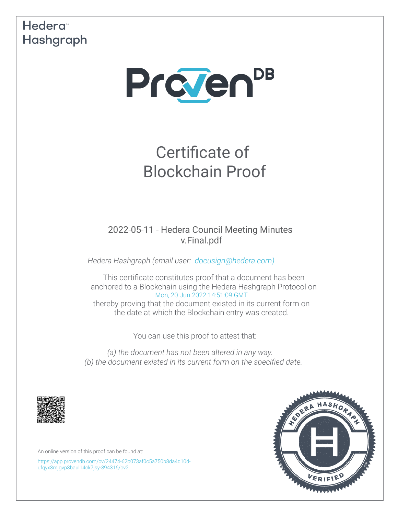# Hedera<sup>®</sup> Hashgraph



# Certificate of Blockchain Proof

2022-05-11 - Hedera Council Meeting Minutes v.Final.pdf

*Hedera Hashgraph (email user: [docusign@hedera.com\)](mailto:docusign@hedera.com)*

This certifcate constitutes proof that a document has been anchored to a Blockchain using the Hedera Hashgraph Protocol on [Mon, 20 Jun 2022 14:51:09 GMT](https://www.timeanddate.com/worldclock/converter.html?iso=20220620T145109000&p1=1440&p2=152&p3=136&p4=179&p5=137&p6=33&p7=248) thereby proving that the document existed in its current form on the date at which the Blockchain entry was created.

You can use this proof to attest that:

*(a) the document has not been altered in any way. (b) the document existed in its current form on the specifed date.*



An online version of this proof can be found at:

[https://app.provendb.com/cv/24474-62b073af0c5a750b8da4d10d](https://app.provendb.com/cv/24474-62b073af0c5a750b8da4d10d-ufqyx3mjgvp3baul14ck7jsy-394316/cv2)[ufqyx3mjgvp3baul14ck7jsy-394316/cv2](https://app.provendb.com/cv/24474-62b073af0c5a750b8da4d10d-ufqyx3mjgvp3baul14ck7jsy-394316/cv2)

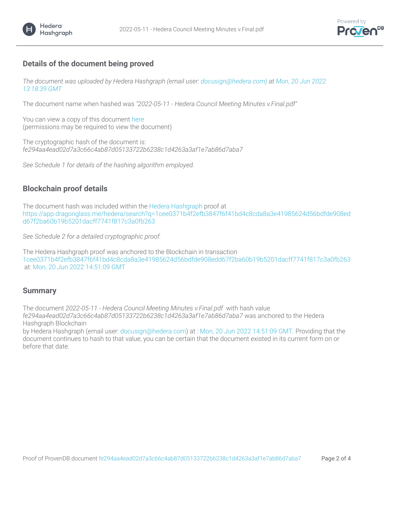



## **Details of the document being proved**

*The document was uploaded by Hedera Hashgraph (email user: docusign@hedera.com) at [Mon, 20 Jun 2022](https://www.timeanddate.com/worldclock/converter.html?iso=20220620T131839647&p1=1440&p2=152&p3=136&p4=179&p5=137&p6=33&p7=248)  [13:18:39 GMT](https://www.timeanddate.com/worldclock/converter.html?iso=20220620T131839647&p1=1440&p2=152&p3=136&p4=179&p5=137&p6=33&p7=248)*

The document name when hashed was *"2022-05-11 - Hedera Council Meeting Minutes v.Final.pdf"*

You can view a copy of this document [here](https://app.provendb.com/cv/24474-62b073af0c5a750b8da4d10d-ufqyx3mjgvp3baul14ck7jsy-394316/cv2) (permissions may be required to view the document)

The cryptographic hash of the document is: *fe294aa4ead02d7a3c66c4ab87d05133722b6238c1d4263a3af1e7ab86d7aba7*

*See Schedule 1 for details of the hashing algorithm employed.*

## **Blockchain proof details**

The document hash was included within the [Hedera Hashgraph proof at](https://www.hedera.com/) [https://app.dragonglass.me/hedera/search?q=1cee0371b4f2efb3847f6f41bd4c8cda8a3e41985624d56bdfde908ed](https://app.dragonglass.me/hedera/search?q=1cee0371b4f2efb3847f6f41bd4c8cda8a3e41985624d56bdfde908edd67f2ba60b19b5201dacff7741f817c3a0fb263) [d67f2ba60b19b5201dacff7741f817c3a0fb263](https://app.dragonglass.me/hedera/search?q=1cee0371b4f2efb3847f6f41bd4c8cda8a3e41985624d56bdfde908edd67f2ba60b19b5201dacff7741f817c3a0fb263)

*See Schedule 2 for a detailed cryptographic proof.*

The Hedera Hashgraph proof was anchored to the Blockchain in transaction [1cee0371b4f2efb3847f6f41bd4c8cda8a3e41985624d56bdfde908edd67f2ba60b19b5201dacff7741f817c3a0fb263](https://app.dragonglass.me/hedera/search?q=1cee0371b4f2efb3847f6f41bd4c8cda8a3e41985624d56bdfde908edd67f2ba60b19b5201dacff7741f817c3a0fb263)  [at:](https://app.dragonglass.me/hedera/search?q=1cee0371b4f2efb3847f6f41bd4c8cda8a3e41985624d56bdfde908edd67f2ba60b19b5201dacff7741f817c3a0fb263) [Mon, 20 Jun 2022 14:51:09 GMT](https://www.timeanddate.com/worldclock/converter.html?iso=20220620T145109000&p1=1440&p2=152&p3=136&p4=179&p5=137&p6=33&p7=248)

#### **Summary**

The document *2022-05-11 - Hedera Council Meeting Minutes v.Final.pdf* with hash value *fe294aa4ead02d7a3c66c4ab87d05133722b6238c1d4263a3af1e7ab86d7aba7* was anchored to the Hedera Hashgraph Blockchain

by Hedera Hashgraph (email user: [docusign@hedera.com\) at :](mailto:docusign@hedera.com) [Mon, 20 Jun 2022 14:51:09 GMT. Providing that the](https://www.timeanddate.com/worldclock/converter.html?iso=20220620T145109000&p1=1440&p2=152&p3=136&p4=179&p5=137&p6=33&p7=248)  [document continues to hash to that value, you can be certain that the document existed in its current form on or](https://www.timeanddate.com/worldclock/converter.html?iso=20220620T145109000&p1=1440&p2=152&p3=136&p4=179&p5=137&p6=33&p7=248)  [before that date.](https://www.timeanddate.com/worldclock/converter.html?iso=20220620T145109000&p1=1440&p2=152&p3=136&p4=179&p5=137&p6=33&p7=248)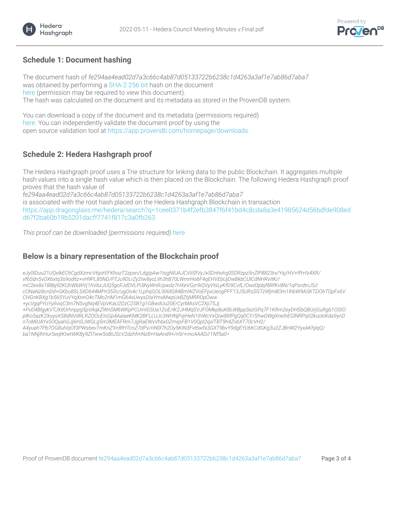

#### **Schedule 1: Document hashing**

Hedera<sup>®</sup> Hashgraph

The document hash of *fe294aa4ead02d7a3c66c4ab87d05133722b6238c1d4263a3af1e7ab86d7aba7* was obtained by performing a [SHA-2 256 bit hash on the document](https://en.wikipedia.org/wiki/SHA-2)  [here \(permission may be required to view this document\).](https://app.provendb.com/cv/24474-62b073af0c5a750b8da4d10d-ufqyx3mjgvp3baul14ck7jsy-394316/cv2) The hash was calculated on the document and its metadata as stored in the ProvenDB system.

You can download a copy of the document and its metadata (permissions required) [here. You can independently validate the document proof by using the](https://app.provendb.com/share/24474-62b073af0c5a750b8da4d10d-ufqyx3mjgvp3baul14ck7jsy-394316/cv2) open source validation tool at [https://app.provendb.com/homepage/downloads.](https://app.provendb.com/homepage/downloads)

#### **Schedule 2: Hedera Hashgraph proof**

The Hedera Hashgraph proof uses a Trie structure for linking data to the public Blockchain. It aggregates multiple hash values into a single hash value which is then placed on the Blockchain. The following Hedera Hashgraph proof proves that the hash value of

*fe294aa4ead02d7a3c66c4ab87d05133722b6238c1d4263a3af1e7ab86d7aba7* is associated with the root hash placed on the Hedera Hashgraph Blockchain in transaction [https://app.dragonglass.me/hedera/search?q=1cee0371b4f2efb3847f6f41bd4c8cda8a3e41985624d56bdfde908ed](https://app.dragonglass.me/hedera/search?q=1cee0371b4f2efb3847f6f41bd4c8cda8a3e41985624d56bdfde908edd67f2ba60b19b5201dacff7741f817c3a0fb263) [d67f2ba60b19b5201dacff7741f817c3a0fb263](https://app.dragonglass.me/hedera/search?q=1cee0371b4f2efb3847f6f41bd4c8cda8a3e41985624d56bdfde908edd67f2ba60b19b5201dacff7741f817c3a0fb263)

*This proof can be downloaded (permissions required) [here](https://app.provendb.com/cv/24474-62b073af0c5a750b8da4d10d-ufqyx3mjgvp3baul14ck7jsy-394316/cv2)*

#### **Below is a binary representation of the Blockchain proof**

*eJy0lDuu21UQxlkEC6CgdXzmcV6pIrEFKhozT2zpxn/LdgIpAw1tsgNIUAJCVIiSfVyJxSDnhohg0SDRzpz5nZlP8823rx/Ysj/HV+fft+fz4XR/ vf6Sdn5vOX6xtq3s9odltz+vH9PL85ND/PTJu9DLrZy2tw8ycLIIh3hB70LWmrHo6F4qEHVEbUjDwBkbCUlCdNHRvItK// mC2ex8s188bj92KUhWbWVj1hVAzJUQ5goFJdDVLPi3NyWnR/pwdz7HXeVGzr9iQVyVtsLyKfD9CvfL/Owd3pbjf8RfKv8N/1qPsrdtnJ5// cONaNz8cnDd+GKbu8SL5XD644MPn353c/ugOo4c1LphqGOL3lXdG84BmWZVoEFpxUeogPFF13J5URsSGTz9fjm8Om1lhbW9ASKTDO6TOpFx6V*

*CHGnKBXg1b565YuVYqXnnO4cTMo2nM1mG64xUwysDIaYmsMwpUxBZtjMRROpOww*

*+ycVgqPYoYyIlviqC3m7NSvgNq4EVpVKaU2DzC2SB1g1GBwdUu20ErCyrMAsVC2Xji75Jj*

*+PvD4BlgykVTJXdOrhnppg5pVAqkZWnSM6WKpPCUmlG5Ua1ZoE/IK2JHMqSVJFOMkp8uKBLWBppSezGPq7F1KRm2eyDHSbQBUrjGuRgb1OStO plKo5azK2XuysXS8dNVdRLRZOOcEIoGp4AalaeKMK2BFLLUJc3WHNjFqiHeN1IhWcVxQIwIBtfPgQq0CY/ShwDWgXneIhEGlNRPqII2kuckIKda9ynD nToMiUAYx5OQyahGJjlim0JWGLg5m3MEAFRm7JgRaEWvVhbx0ZmqsFB1V0QpI2qxlTBT9h4ZvbXT70cVH2/*

*A4yuah7Pb7OG8uhlqOf3PWs6ev7mKnZ9+8fHTcnZ7dPv/riN0l7h2Oy5KiN3Fvt6wfx3GXT9bvY9dgEYU6KCdGKg3u2ZJBnW2YyxAKhjlqQ/ ba1NNjlhHurSeqtKIwtWKBy9Zl7ww5oBtJScV2dzhfmNz8+HaAnd9+/n9/+mcAAAD//1Nf5a0=*